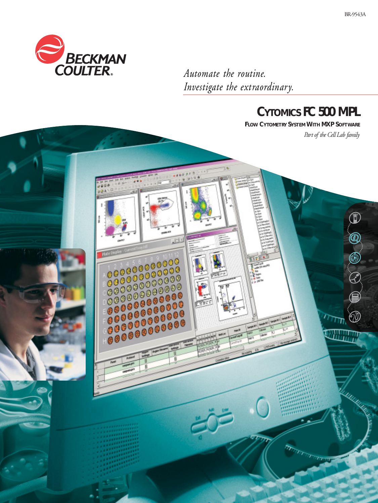

*Automate the routine. Investigate the extraordinary.*



**FLOW CYTOMETRY SYSTEM WITH MXP SOFTWARE**

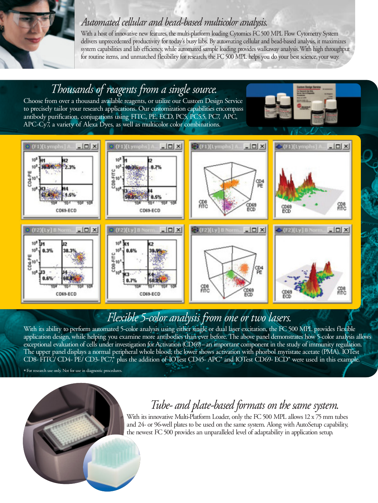

With a host of innovative new features, the multi-platform loading Cytomics FC 500 MPL Flow Cytometry System delivers unprecedented productivity for today's busy labs. By automating cellular and bead-based analysis, it maximizes system capabilities and lab efficiency, while automated sample loading provides walkaway analysis.With high throughput for routine items, and unmatched flexibility for research, the FC 500 MPL helps you do your best science, your way.



# *Flexible 5-color analysis from one or two lasers.*

With its ability to perform automated 5-color analysis using either single or dual laser excitation, the FC 500 MPL provides flexible application design, while helping you examine more antibodies than ever before. The above panel demonstrates how 5-color analysis allows exceptional evaluation of cells under investigation for Activation (CD69)–an important component in the study of immunity regulation. The upper panel displays a normal peripheral whole blood; the lower shows activation with phorbol myristate acetate (PMA). IOTest CD8- FITC/ CD4- PE/ CD3-PC7,\* plus the addition of IOTest CD45- APC\* and IOTest CD69- ECD\* were used in this example.

\*For research use only. Not for use in diagnostic procedures.

# *Tube- and plate-based formats on the same system.*

With its innovative Multi-Platform Loader, only the FC 500 MPL allows 12 x 75 mm tubes and 24- or 96-well plates to be used on the same system. Along with AutoSetup capability, the newest FC 500 provides an unparalleled level of adaptability in application setup.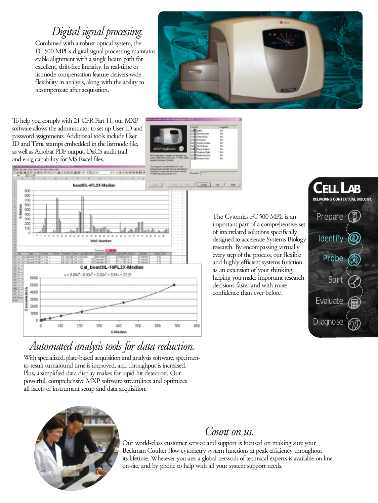*Digital signal processing.*

Combined with a robust optical system, the FC500 MPL's digital signal processing maintains stable alignment with a single beam path for excellent, drift-free linearity. Its real-time or listmode compensation feature delivers wide flexibility in analysis, along with the ability to recompensate after acquisition.



To help you comply with 21 CFR Part 11, our MXP software allows the administrator to set up User ID and password assignments. Additional tools include User ID and Time stamps embedded in the listmode file, as well as Acrobat PDF output, DaCS audit trail, and e-sig capability for MS Excel files.

**EARNIER** 





*Automated analysis tools for data reduction.*

With specialized, plate-based acquisition and analysis software, specimento-result turnaround time is improved, and throughput is increased. Plus, a simplified data display makes for rapid hit detection. Our powerful, comprehensive MXP software streamlines and optimizes all facets of instrument setup and data acquisition.

The Cytomics FC 500 MPL is an important part of a comprehensive set of interrelated solutions specifically designed to accelerate Systems Biology research. By encompassing virtually every step of the process, our flexible and highly efficient systems function as an extension of your thinking, helping you make important research decisions faster and with more confidence than ever before.





## *Count on us.*

Our world-class customer service and support is focused on making sure your Beckman Coulter flow cytometry system functions at peak efficiency throughout its lifetime. Wherever you are, a global network of technical experts is available on-line, on-site, and by phone to help with all your system support needs.